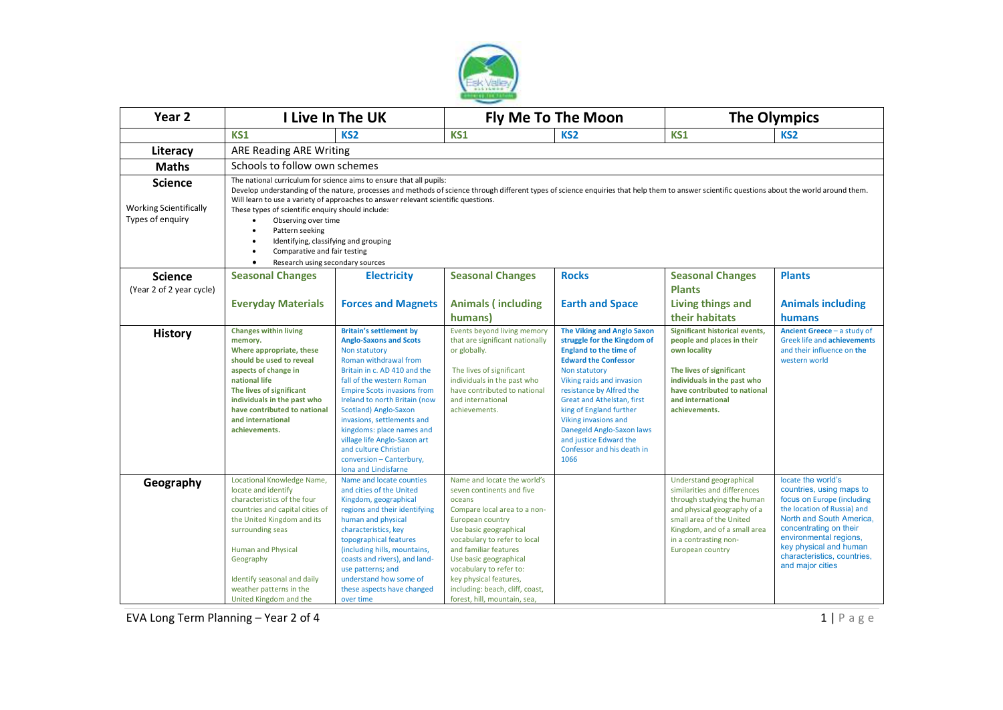

| Year <sub>2</sub>                                 | I Live In The UK                                                                                                                                                                                                                                                                                                                                           |                                                                                                                                                                                                                                                                                                                                                                                                                                                | <b>Fly Me To The Moon</b>                                                                                                                                                                                                                                                                                                                                   |                                                                                                                                                                                                                                                                                                                                                                                          | <b>The Olympics</b>                                                                                                                                                                                                           |                                                                                                                                                                                                                                                                          |
|---------------------------------------------------|------------------------------------------------------------------------------------------------------------------------------------------------------------------------------------------------------------------------------------------------------------------------------------------------------------------------------------------------------------|------------------------------------------------------------------------------------------------------------------------------------------------------------------------------------------------------------------------------------------------------------------------------------------------------------------------------------------------------------------------------------------------------------------------------------------------|-------------------------------------------------------------------------------------------------------------------------------------------------------------------------------------------------------------------------------------------------------------------------------------------------------------------------------------------------------------|------------------------------------------------------------------------------------------------------------------------------------------------------------------------------------------------------------------------------------------------------------------------------------------------------------------------------------------------------------------------------------------|-------------------------------------------------------------------------------------------------------------------------------------------------------------------------------------------------------------------------------|--------------------------------------------------------------------------------------------------------------------------------------------------------------------------------------------------------------------------------------------------------------------------|
|                                                   | KS1                                                                                                                                                                                                                                                                                                                                                        | KS <sub>2</sub>                                                                                                                                                                                                                                                                                                                                                                                                                                | <b>KS1</b>                                                                                                                                                                                                                                                                                                                                                  | KS <sub>2</sub>                                                                                                                                                                                                                                                                                                                                                                          | <b>KS1</b>                                                                                                                                                                                                                    | KS <sub>2</sub>                                                                                                                                                                                                                                                          |
| Literacy                                          | ARE Reading ARE Writing                                                                                                                                                                                                                                                                                                                                    |                                                                                                                                                                                                                                                                                                                                                                                                                                                |                                                                                                                                                                                                                                                                                                                                                             |                                                                                                                                                                                                                                                                                                                                                                                          |                                                                                                                                                                                                                               |                                                                                                                                                                                                                                                                          |
| <b>Maths</b>                                      | Schools to follow own schemes                                                                                                                                                                                                                                                                                                                              |                                                                                                                                                                                                                                                                                                                                                                                                                                                |                                                                                                                                                                                                                                                                                                                                                             |                                                                                                                                                                                                                                                                                                                                                                                          |                                                                                                                                                                                                                               |                                                                                                                                                                                                                                                                          |
| <b>Science</b>                                    | The national curriculum for science aims to ensure that all pupils:<br>Develop understanding of the nature, processes and methods of science through different types of science enquiries that help them to answer scientific questions about the world around them.<br>Will learn to use a variety of approaches to answer relevant scientific questions. |                                                                                                                                                                                                                                                                                                                                                                                                                                                |                                                                                                                                                                                                                                                                                                                                                             |                                                                                                                                                                                                                                                                                                                                                                                          |                                                                                                                                                                                                                               |                                                                                                                                                                                                                                                                          |
| <b>Working Scientifically</b><br>Types of enquiry | These types of scientific enquiry should include:<br>Observing over time<br>$\bullet$<br>Pattern seeking<br>$\bullet$<br>Identifying, classifying and grouping<br>٠<br>Comparative and fair testing<br>$\bullet$<br>Research using secondary sources<br>$\bullet$                                                                                          |                                                                                                                                                                                                                                                                                                                                                                                                                                                |                                                                                                                                                                                                                                                                                                                                                             |                                                                                                                                                                                                                                                                                                                                                                                          |                                                                                                                                                                                                                               |                                                                                                                                                                                                                                                                          |
| <b>Science</b>                                    | <b>Seasonal Changes</b>                                                                                                                                                                                                                                                                                                                                    | <b>Electricity</b>                                                                                                                                                                                                                                                                                                                                                                                                                             | <b>Seasonal Changes</b>                                                                                                                                                                                                                                                                                                                                     | <b>Rocks</b>                                                                                                                                                                                                                                                                                                                                                                             | <b>Seasonal Changes</b>                                                                                                                                                                                                       | <b>Plants</b>                                                                                                                                                                                                                                                            |
| (Year 2 of 2 year cycle)                          |                                                                                                                                                                                                                                                                                                                                                            |                                                                                                                                                                                                                                                                                                                                                                                                                                                |                                                                                                                                                                                                                                                                                                                                                             |                                                                                                                                                                                                                                                                                                                                                                                          | <b>Plants</b>                                                                                                                                                                                                                 |                                                                                                                                                                                                                                                                          |
|                                                   | <b>Everyday Materials</b>                                                                                                                                                                                                                                                                                                                                  | <b>Forces and Magnets</b>                                                                                                                                                                                                                                                                                                                                                                                                                      | <b>Animals (including</b>                                                                                                                                                                                                                                                                                                                                   | <b>Earth and Space</b>                                                                                                                                                                                                                                                                                                                                                                   | Living things and                                                                                                                                                                                                             | <b>Animals including</b>                                                                                                                                                                                                                                                 |
|                                                   |                                                                                                                                                                                                                                                                                                                                                            |                                                                                                                                                                                                                                                                                                                                                                                                                                                | humans)                                                                                                                                                                                                                                                                                                                                                     |                                                                                                                                                                                                                                                                                                                                                                                          | their habitats                                                                                                                                                                                                                | humans                                                                                                                                                                                                                                                                   |
| <b>History</b>                                    | <b>Changes within living</b><br>memory.<br>Where appropriate, these<br>should be used to reveal<br>aspects of change in<br>national life<br>The lives of significant<br>individuals in the past who<br>have contributed to national<br>and international<br>achievements.                                                                                  | <b>Britain's settlement by</b><br><b>Anglo-Saxons and Scots</b><br>Non statutory<br>Roman withdrawal from<br>Britain in c. AD 410 and the<br>fall of the western Roman<br><b>Empire Scots invasions from</b><br>Ireland to north Britain (now<br>Scotland) Anglo-Saxon<br>invasions, settlements and<br>kingdoms: place names and<br>village life Anglo-Saxon art<br>and culture Christian<br>conversion - Canterbury,<br>Iona and Lindisfarne | Events beyond living memory<br>that are significant nationally<br>or globally.<br>The lives of significant<br>individuals in the past who<br>have contributed to national<br>and international<br>achievements.                                                                                                                                             | <b>The Viking and Anglo Saxon</b><br>struggle for the Kingdom of<br><b>England to the time of</b><br><b>Edward the Confessor</b><br>Non statutory<br>Viking raids and invasion<br>resistance by Alfred the<br>Great and Athelstan, first<br>king of England further<br>Viking invasions and<br>Danegeld Anglo-Saxon laws<br>and justice Edward the<br>Confessor and his death in<br>1066 | Significant historical events,<br>people and places in their<br>own locality<br>The lives of significant<br>individuals in the past who<br>have contributed to national<br>and international<br>achievements.                 | Ancient Greece - a study of<br>Greek life and achievements<br>and their influence on the<br>western world                                                                                                                                                                |
| Geography                                         | Locational Knowledge Name,<br>locate and identify<br>characteristics of the four<br>countries and capital cities of<br>the United Kingdom and its<br>surrounding seas<br><b>Human and Physical</b><br>Geography<br>Identify seasonal and daily<br>weather patterns in the<br>United Kingdom and the                                                        | Name and locate counties<br>and cities of the United<br>Kingdom, geographical<br>regions and their identifying<br>human and physical<br>characteristics, key<br>topographical features<br>(including hills, mountains,<br>coasts and rivers), and land-<br>use patterns; and<br>understand how some of<br>these aspects have changed<br>over time                                                                                              | Name and locate the world's<br>seven continents and five<br>oceans<br>Compare local area to a non-<br>European country<br>Use basic geographical<br>vocabulary to refer to local<br>and familiar features<br>Use basic geographical<br>vocabulary to refer to:<br>key physical features,<br>including: beach, cliff, coast,<br>forest, hill, mountain, sea, |                                                                                                                                                                                                                                                                                                                                                                                          | Understand geographical<br>similarities and differences<br>through studying the human<br>and physical geography of a<br>small area of the United<br>Kingdom, and of a small area<br>in a contrasting non-<br>European country | locate the world's<br>countries, using maps to<br>focus on Europe (including<br>the location of Russia) and<br>North and South America.<br>concentrating on their<br>environmental regions,<br>key physical and human<br>characteristics, countries,<br>and major cities |

EVA Long Term Planning – Year 2 of 4 1 | P a g e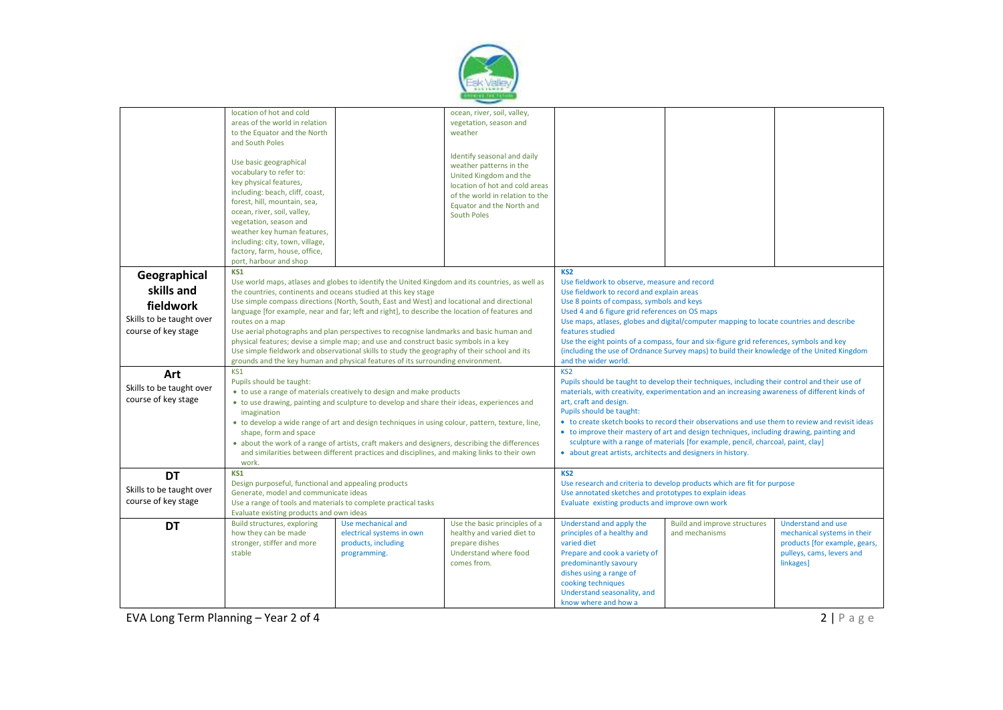

|                          | location of hot and cold                                                                                                                                                             |                                                                                                 | ocean, river, soil, valley,     |                                                                                                |                                                                                               |                               |  |
|--------------------------|--------------------------------------------------------------------------------------------------------------------------------------------------------------------------------------|-------------------------------------------------------------------------------------------------|---------------------------------|------------------------------------------------------------------------------------------------|-----------------------------------------------------------------------------------------------|-------------------------------|--|
|                          | areas of the world in relation                                                                                                                                                       |                                                                                                 | vegetation, season and          |                                                                                                |                                                                                               |                               |  |
|                          | to the Equator and the North                                                                                                                                                         |                                                                                                 | weather                         |                                                                                                |                                                                                               |                               |  |
|                          | and South Poles                                                                                                                                                                      |                                                                                                 |                                 |                                                                                                |                                                                                               |                               |  |
|                          |                                                                                                                                                                                      |                                                                                                 |                                 |                                                                                                |                                                                                               |                               |  |
|                          |                                                                                                                                                                                      |                                                                                                 | Identify seasonal and daily     |                                                                                                |                                                                                               |                               |  |
|                          | Use basic geographical                                                                                                                                                               |                                                                                                 | weather patterns in the         |                                                                                                |                                                                                               |                               |  |
|                          | vocabulary to refer to:                                                                                                                                                              |                                                                                                 | United Kingdom and the          |                                                                                                |                                                                                               |                               |  |
|                          | key physical features,                                                                                                                                                               |                                                                                                 |                                 |                                                                                                |                                                                                               |                               |  |
|                          | including: beach, cliff, coast,                                                                                                                                                      |                                                                                                 | location of hot and cold areas  |                                                                                                |                                                                                               |                               |  |
|                          | forest, hill, mountain, sea,                                                                                                                                                         |                                                                                                 | of the world in relation to the |                                                                                                |                                                                                               |                               |  |
|                          |                                                                                                                                                                                      |                                                                                                 | Equator and the North and       |                                                                                                |                                                                                               |                               |  |
|                          | ocean, river, soil, valley,                                                                                                                                                          |                                                                                                 | <b>South Poles</b>              |                                                                                                |                                                                                               |                               |  |
|                          | vegetation, season and                                                                                                                                                               |                                                                                                 |                                 |                                                                                                |                                                                                               |                               |  |
|                          | weather key human features,                                                                                                                                                          |                                                                                                 |                                 |                                                                                                |                                                                                               |                               |  |
|                          | including: city, town, village,                                                                                                                                                      |                                                                                                 |                                 |                                                                                                |                                                                                               |                               |  |
|                          | factory, farm, house, office,                                                                                                                                                        |                                                                                                 |                                 |                                                                                                |                                                                                               |                               |  |
|                          | port, harbour and shop                                                                                                                                                               |                                                                                                 |                                 |                                                                                                |                                                                                               |                               |  |
|                          | KS1                                                                                                                                                                                  |                                                                                                 |                                 | KS <sub>2</sub>                                                                                |                                                                                               |                               |  |
| Geographical             |                                                                                                                                                                                      |                                                                                                 |                                 |                                                                                                |                                                                                               |                               |  |
| skills and               |                                                                                                                                                                                      | Use world maps, atlases and globes to identify the United Kingdom and its countries, as well as |                                 | Use fieldwork to observe, measure and record                                                   |                                                                                               |                               |  |
|                          | the countries, continents and oceans studied at this key stage                                                                                                                       |                                                                                                 |                                 | Use fieldwork to record and explain areas                                                      |                                                                                               |                               |  |
| fieldwork                | Use simple compass directions (North, South, East and West) and locational and directional                                                                                           |                                                                                                 |                                 | Use 8 points of compass, symbols and keys                                                      |                                                                                               |                               |  |
|                          | language [for example, near and far; left and right], to describe the location of features and                                                                                       |                                                                                                 |                                 | Used 4 and 6 figure grid references on OS maps                                                 |                                                                                               |                               |  |
| Skills to be taught over | routes on a map                                                                                                                                                                      |                                                                                                 |                                 | Use maps, atlases, globes and digital/computer mapping to locate countries and describe        |                                                                                               |                               |  |
| course of key stage      | Use aerial photographs and plan perspectives to recognise landmarks and basic human and                                                                                              |                                                                                                 |                                 | features studied                                                                               |                                                                                               |                               |  |
|                          |                                                                                                                                                                                      |                                                                                                 |                                 | Use the eight points of a compass, four and six-figure grid references, symbols and key        |                                                                                               |                               |  |
|                          | physical features; devise a simple map; and use and construct basic symbols in a key<br>Use simple fieldwork and observational skills to study the geography of their school and its |                                                                                                 |                                 | (including the use of Ordnance Survey maps) to build their knowledge of the United Kingdom     |                                                                                               |                               |  |
|                          | grounds and the key human and physical features of its surrounding environment.                                                                                                      |                                                                                                 |                                 |                                                                                                |                                                                                               |                               |  |
|                          |                                                                                                                                                                                      |                                                                                                 |                                 | and the wider world.                                                                           |                                                                                               |                               |  |
| Art                      | KS1                                                                                                                                                                                  |                                                                                                 |                                 | KS <sub>2</sub>                                                                                |                                                                                               |                               |  |
|                          | Pupils should be taught:                                                                                                                                                             |                                                                                                 |                                 |                                                                                                | Pupils should be taught to develop their techniques, including their control and their use of |                               |  |
| Skills to be taught over | • to use a range of materials creatively to design and make products                                                                                                                 |                                                                                                 |                                 |                                                                                                | materials, with creativity, experimentation and an increasing awareness of different kinds of |                               |  |
| course of key stage      | • to use drawing, painting and sculpture to develop and share their ideas, experiences and                                                                                           |                                                                                                 |                                 | art, craft and design.                                                                         |                                                                                               |                               |  |
|                          | imagination                                                                                                                                                                          |                                                                                                 |                                 | Pupils should be taught:                                                                       |                                                                                               |                               |  |
|                          | • to develop a wide range of art and design techniques in using colour, pattern, texture, line,                                                                                      |                                                                                                 |                                 | • to create sketch books to record their observations and use them to review and revisit ideas |                                                                                               |                               |  |
|                          |                                                                                                                                                                                      |                                                                                                 |                                 | • to improve their mastery of art and design techniques, including drawing, painting and       |                                                                                               |                               |  |
|                          | shape, form and space                                                                                                                                                                |                                                                                                 |                                 |                                                                                                |                                                                                               |                               |  |
|                          | • about the work of a range of artists, craft makers and designers, describing the differences                                                                                       |                                                                                                 |                                 | sculpture with a range of materials [for example, pencil, charcoal, paint, clay]               |                                                                                               |                               |  |
|                          |                                                                                                                                                                                      | and similarities between different practices and disciplines, and making links to their own     |                                 | • about great artists, architects and designers in history.                                    |                                                                                               |                               |  |
|                          | work.                                                                                                                                                                                |                                                                                                 |                                 |                                                                                                |                                                                                               |                               |  |
| <b>DT</b>                | KS1                                                                                                                                                                                  |                                                                                                 |                                 | KS <sub>2</sub>                                                                                |                                                                                               |                               |  |
|                          | Design purposeful, functional and appealing products                                                                                                                                 |                                                                                                 |                                 | Use research and criteria to develop products which are fit for purpose                        |                                                                                               |                               |  |
| Skills to be taught over | Generate, model and communicate ideas                                                                                                                                                |                                                                                                 |                                 | Use annotated sketches and prototypes to explain ideas                                         |                                                                                               |                               |  |
| course of key stage      |                                                                                                                                                                                      |                                                                                                 |                                 | Evaluate existing products and improve own work                                                |                                                                                               |                               |  |
|                          | Use a range of tools and materials to complete practical tasks<br>Evaluate existing products and own ideas                                                                           |                                                                                                 |                                 |                                                                                                |                                                                                               |                               |  |
|                          |                                                                                                                                                                                      |                                                                                                 |                                 |                                                                                                |                                                                                               |                               |  |
| <b>DT</b>                | Build structures, exploring                                                                                                                                                          | Use mechanical and                                                                              | Use the basic principles of a   | Understand and apply the                                                                       | <b>Build and improve structures</b>                                                           | Understand and use            |  |
|                          | how they can be made                                                                                                                                                                 | electrical systems in own                                                                       | healthy and varied diet to      | principles of a healthy and                                                                    | and mechanisms                                                                                | mechanical systems in their   |  |
|                          | stronger, stiffer and more                                                                                                                                                           | products, including                                                                             | prepare dishes                  | varied diet                                                                                    |                                                                                               | products [for example, gears, |  |
|                          | stable                                                                                                                                                                               | programming.                                                                                    | Understand where food           | Prepare and cook a variety of                                                                  |                                                                                               | pulleys, cams, levers and     |  |
|                          |                                                                                                                                                                                      |                                                                                                 | comes from.                     | predominantly savoury                                                                          |                                                                                               | linkages]                     |  |
|                          |                                                                                                                                                                                      |                                                                                                 |                                 | dishes using a range of                                                                        |                                                                                               |                               |  |
|                          |                                                                                                                                                                                      |                                                                                                 |                                 | cooking techniques                                                                             |                                                                                               |                               |  |
|                          |                                                                                                                                                                                      |                                                                                                 |                                 | Understand seasonality, and                                                                    |                                                                                               |                               |  |
|                          |                                                                                                                                                                                      |                                                                                                 |                                 |                                                                                                |                                                                                               |                               |  |
|                          |                                                                                                                                                                                      |                                                                                                 |                                 | know where and how a                                                                           |                                                                                               |                               |  |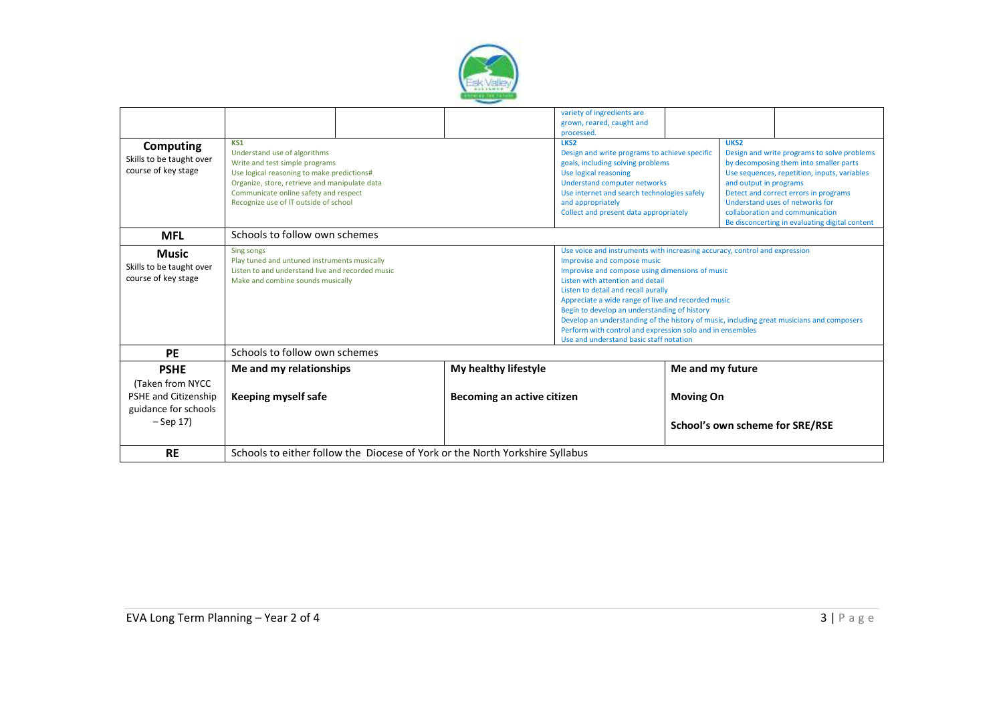

|                                                                                                 |                                                                                                                                                                                                                                                        |  |                                                                                                                                                                                                                                                                                      | variety of ingredients are                                                                                                                                                                                                                                                                                                                                                                                                                                                                                                                         |  |                                                |  |
|-------------------------------------------------------------------------------------------------|--------------------------------------------------------------------------------------------------------------------------------------------------------------------------------------------------------------------------------------------------------|--|--------------------------------------------------------------------------------------------------------------------------------------------------------------------------------------------------------------------------------------------------------------------------------------|----------------------------------------------------------------------------------------------------------------------------------------------------------------------------------------------------------------------------------------------------------------------------------------------------------------------------------------------------------------------------------------------------------------------------------------------------------------------------------------------------------------------------------------------------|--|------------------------------------------------|--|
|                                                                                                 |                                                                                                                                                                                                                                                        |  |                                                                                                                                                                                                                                                                                      | grown, reared, caught and<br>processed.                                                                                                                                                                                                                                                                                                                                                                                                                                                                                                            |  |                                                |  |
| Computing<br>Skills to be taught over<br>course of key stage                                    | KS1<br>Understand use of algorithms<br>Write and test simple programs<br>Use logical reasoning to make predictions#<br>Organize, store, retrieve and manipulate data<br>Communicate online safety and respect<br>Recognize use of IT outside of school |  | LKS <sub>2</sub><br>Design and write programs to achieve specific<br>goals, including solving problems<br>Use logical reasoning<br><b>Understand computer networks</b><br>Use internet and search technologies safely<br>and appropriately<br>Collect and present data appropriately | UKS <sub>2</sub><br>Design and write programs to solve problems<br>by decomposing them into smaller parts<br>Use sequences, repetition, inputs, variables<br>and output in programs<br>Detect and correct errors in programs<br>Understand uses of networks for<br>collaboration and communication                                                                                                                                                                                                                                                 |  | Be disconcerting in evaluating digital content |  |
| <b>MFL</b>                                                                                      | Schools to follow own schemes                                                                                                                                                                                                                          |  |                                                                                                                                                                                                                                                                                      |                                                                                                                                                                                                                                                                                                                                                                                                                                                                                                                                                    |  |                                                |  |
| <b>Music</b><br>Skills to be taught over<br>course of key stage                                 | Sing songs<br>Play tuned and untuned instruments musically<br>Listen to and understand live and recorded music<br>Make and combine sounds musically                                                                                                    |  |                                                                                                                                                                                                                                                                                      | Use voice and instruments with increasing accuracy, control and expression<br>Improvise and compose music<br>Improvise and compose using dimensions of music<br>Listen with attention and detail<br>Listen to detail and recall aurally<br>Appreciate a wide range of live and recorded music<br>Begin to develop an understanding of history<br>Develop an understanding of the history of music, including great musicians and composers<br>Perform with control and expression solo and in ensembles<br>Use and understand basic staff notation |  |                                                |  |
| <b>PE</b>                                                                                       | Schools to follow own schemes                                                                                                                                                                                                                          |  |                                                                                                                                                                                                                                                                                      |                                                                                                                                                                                                                                                                                                                                                                                                                                                                                                                                                    |  |                                                |  |
| <b>PSHE</b><br>(Taken from NYCC)<br>PSHE and Citizenship<br>guidance for schools<br>$-$ Sep 17) | Me and my relationships<br>Keeping myself safe                                                                                                                                                                                                         |  | My healthy lifestyle<br>Becoming an active citizen                                                                                                                                                                                                                                   | Me and my future<br><b>Moving On</b><br>School's own scheme for SRE/RSE                                                                                                                                                                                                                                                                                                                                                                                                                                                                            |  |                                                |  |
| <b>RE</b>                                                                                       | Schools to either follow the Diocese of York or the North Yorkshire Syllabus                                                                                                                                                                           |  |                                                                                                                                                                                                                                                                                      |                                                                                                                                                                                                                                                                                                                                                                                                                                                                                                                                                    |  |                                                |  |
|                                                                                                 |                                                                                                                                                                                                                                                        |  |                                                                                                                                                                                                                                                                                      |                                                                                                                                                                                                                                                                                                                                                                                                                                                                                                                                                    |  |                                                |  |